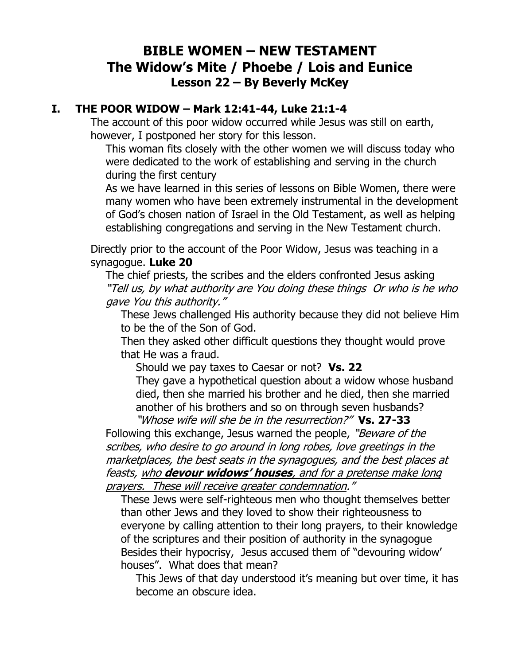## **BIBLE WOMEN – NEW TESTAMENT The Widow's Mite / Phoebe / Lois and Eunice Lesson 22 – By Beverly McKey**

## **I. THE POOR WIDOW – Mark 12:41-44, Luke 21:1-4**

The account of this poor widow occurred while Jesus was still on earth, however, I postponed her story for this lesson.

This woman fits closely with the other women we will discuss today who were dedicated to the work of establishing and serving in the church during the first century

As we have learned in this series of lessons on Bible Women, there were many women who have been extremely instrumental in the development of God's chosen nation of Israel in the Old Testament, as well as helping establishing congregations and serving in the New Testament church.

Directly prior to the account of the Poor Widow, Jesus was teaching in a synagogue. **Luke 20**

The chief priests, the scribes and the elders confronted Jesus asking "Tell us, by what authority are You doing these things Or who is he who gave You this authority."

These Jews challenged His authority because they did not believe Him to be the of the Son of God.

Then they asked other difficult questions they thought would prove that He was a fraud.

Should we pay taxes to Caesar or not? **Vs. 22**

They gave a hypothetical question about a widow whose husband died, then she married his brother and he died, then she married another of his brothers and so on through seven husbands?

"Whose wife will she be in the resurrection?" **Vs. 27-33**  Following this exchange, Jesus warned the people, "Beware of the scribes, who desire to go around in long robes, love greetings in the marketplaces, the best seats in the synagogues, and the best places at feasts, who **devour widows' houses**, and for a pretense make long prayers. These will receive greater condemnation."

These Jews were self-righteous men who thought themselves better than other Jews and they loved to show their righteousness to everyone by calling attention to their long prayers, to their knowledge of the scriptures and their position of authority in the synagogue Besides their hypocrisy, Jesus accused them of "devouring widow' houses". What does that mean?

This Jews of that day understood it's meaning but over time, it has become an obscure idea.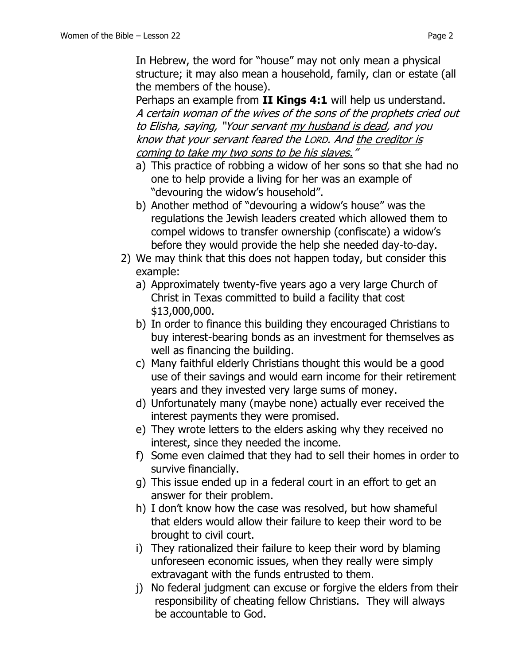In Hebrew, the word for "house" may not only mean a physical structure; it may also mean a household, family, clan or estate (all the members of the house).

Perhaps an example from **II Kings 4:1** will help us understand. A certain woman of the wives of the sons of the prophets cried out to Elisha, saying, "Your servant my husband is dead, and you know that your servant feared the LORD. And the creditor is coming to take my two sons to be his slaves."

- a) This practice of robbing a widow of her sons so that she had no one to help provide a living for her was an example of "devouring the widow's household".
- b) Another method of "devouring a widow's house" was the regulations the Jewish leaders created which allowed them to compel widows to transfer ownership (confiscate) a widow's before they would provide the help she needed day-to-day.
- 2) We may think that this does not happen today, but consider this example:
	- a) Approximately twenty-five years ago a very large Church of Christ in Texas committed to build a facility that cost \$13,000,000.
	- b) In order to finance this building they encouraged Christians to buy interest-bearing bonds as an investment for themselves as well as financing the building.
	- c) Many faithful elderly Christians thought this would be a good use of their savings and would earn income for their retirement years and they invested very large sums of money.
	- d) Unfortunately many (maybe none) actually ever received the interest payments they were promised.
	- e) They wrote letters to the elders asking why they received no interest, since they needed the income.
	- f) Some even claimed that they had to sell their homes in order to survive financially.
	- g) This issue ended up in a federal court in an effort to get an answer for their problem.
	- h) I don't know how the case was resolved, but how shameful that elders would allow their failure to keep their word to be brought to civil court.
	- i) They rationalized their failure to keep their word by blaming unforeseen economic issues, when they really were simply extravagant with the funds entrusted to them.
	- j) No federal judgment can excuse or forgive the elders from their responsibility of cheating fellow Christians. They will always be accountable to God.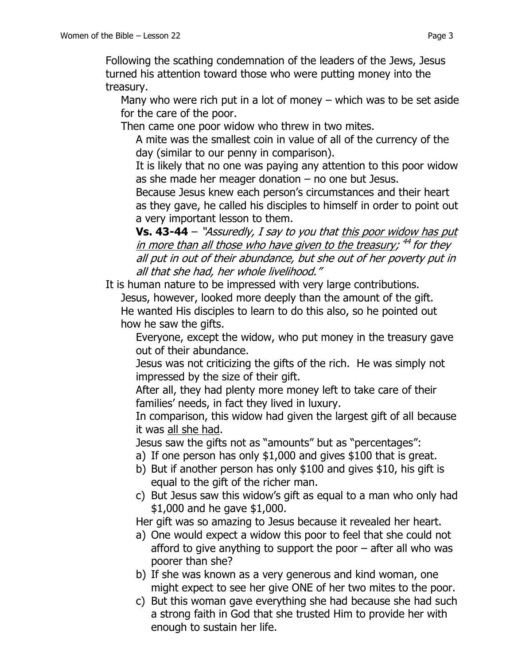Following the scathing condemnation of the leaders of the Jews, Jesus turned his attention toward those who were putting money into the treasury.

Many who were rich put in a lot of money – which was to be set aside for the care of the poor.

Then came one poor widow who threw in two mites.

A mite was the smallest coin in value of all of the currency of the day (similar to our penny in comparison).

It is likely that no one was paying any attention to this poor widow as she made her meager donation  $-$  no one but Jesus.

Because Jesus knew each person's circumstances and their heart as they gave, he called his disciples to himself in order to point out a very important lesson to them.

**Vs. 43-44** – "Assuredly, I say to you that this poor widow has put <u>in more than all those who have given to the treasury</u>; <sup>44</sup> for they all put in out of their abundance, but she out of her poverty put in all that she had, her whole livelihood."

It is human nature to be impressed with very large contributions.

Jesus, however, looked more deeply than the amount of the gift. He wanted His disciples to learn to do this also, so he pointed out how he saw the gifts.

Everyone, except the widow, who put money in the treasury gave out of their abundance.

Jesus was not criticizing the gifts of the rich. He was simply not impressed by the size of their gift.

After all, they had plenty more money left to take care of their families' needs, in fact they lived in luxury.

In comparison, this widow had given the largest gift of all because it was all she had.

Jesus saw the gifts not as "amounts" but as "percentages":

- a) If one person has only \$1,000 and gives \$100 that is great.
- b) But if another person has only \$100 and gives \$10, his gift is equal to the gift of the richer man.
- c) But Jesus saw this widow's gift as equal to a man who only had \$1,000 and he gave \$1,000.

Her gift was so amazing to Jesus because it revealed her heart.

- a) One would expect a widow this poor to feel that she could not afford to give anything to support the poor – after all who was poorer than she?
- b) If she was known as a very generous and kind woman, one might expect to see her give ONE of her two mites to the poor.
- c) But this woman gave everything she had because she had such a strong faith in God that she trusted Him to provide her with enough to sustain her life.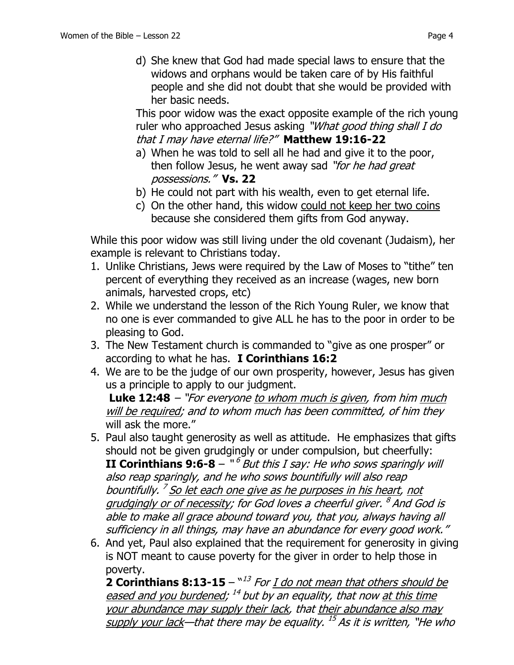This poor widow was the exact opposite example of the rich young ruler who approached Jesus asking "What good thing shall I do that I may have eternal life?" **Matthew 19:16-22**

- a) When he was told to sell all he had and give it to the poor, then follow Jesus, he went away sad "for he had great possessions." **Vs. 22**
- b) He could not part with his wealth, even to get eternal life.
- c) On the other hand, this widow could not keep her two coins because she considered them gifts from God anyway.

While this poor widow was still living under the old covenant (Judaism), her example is relevant to Christians today.

- 1. Unlike Christians, Jews were required by the Law of Moses to "tithe" ten percent of everything they received as an increase (wages, new born animals, harvested crops, etc)
- 2. While we understand the lesson of the Rich Young Ruler, we know that no one is ever commanded to give ALL he has to the poor in order to be pleasing to God.
- 3. The New Testament church is commanded to "give as one prosper" or according to what he has. **I Corinthians 16:2**
- 4. We are to be the judge of our own prosperity, however, Jesus has given us a principle to apply to our judgment.

**Luke 12:48** – "For everyone to whom much is given, from him much will be required; and to whom much has been committed, of him they will ask the more."

- 5. Paul also taught generosity as well as attitude. He emphasizes that gifts should not be given grudgingly or under compulsion, but cheerfully: **II Corinthians 9:6-8** – "<sup>6</sup> But this I say: He who sows sparingly will also reap sparingly, and he who sows bountifully will also reap bountifully. <sup>7</sup> <u>So let each one give as he purposes in his heart</u>, <u>not</u> grudgingly or of necessity; for God loves a cheerful giver. <sup>8</sup> And God is able to make all grace abound toward you, that you, always having all sufficiency in all things, may have an abundance for every good work."
- 6. And yet, Paul also explained that the requirement for generosity in giving is NOT meant to cause poverty for the giver in order to help those in poverty.

**2 Corinthians 8:13-15** – "<sup>13</sup> For <u>I do not mean that others should be</u> eased and you burdened; <sup>14</sup> but by an equality, that now <u>at this time</u> your abundance may supply their lack, that their abundance also may supply your lack—that there may be equality. <sup>15</sup> As it is written, "He who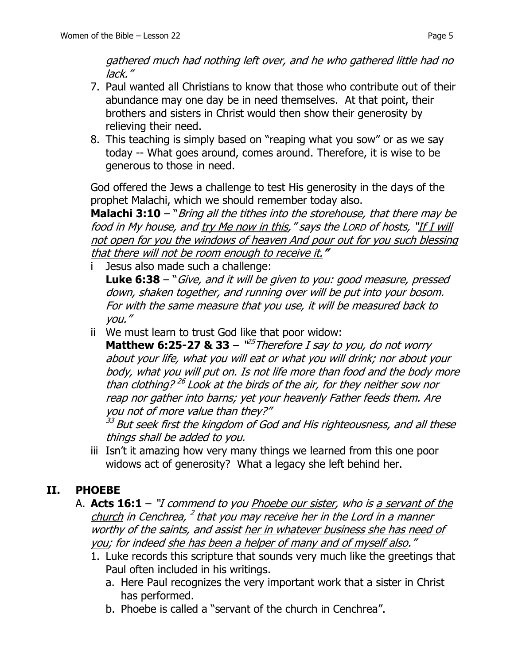gathered much had nothing left over, and he who gathered little had no lack."

- 7. Paul wanted all Christians to know that those who contribute out of their abundance may one day be in need themselves. At that point, their brothers and sisters in Christ would then show their generosity by relieving their need.
- 8. This teaching is simply based on "reaping what you sow" or as we say today -- What goes around, comes around. Therefore, it is wise to be generous to those in need.

God offered the Jews a challenge to test His generosity in the days of the prophet Malachi, which we should remember today also.

**Malachi 3:10** – "Bring all the tithes into the storehouse, that there may be food in My house, and try Me now in this," says the LORD of hosts, "If I will not open for you the windows of heaven And pour out for you such blessing that there will not be room enough to receive it.**"**

Jesus also made such a challenge:

**Luke 6:38** – "Give, and it will be given to you: good measure, pressed down, shaken together, and running over will be put into your bosom. For with the same measure that you use, it will be measured back to you."

ii We must learn to trust God like that poor widow:

**Matthew 6:25-27 & 33** –  $^{125}$ Therefore I say to you, do not worry about your life, what you will eat or what you will drink; nor about your body, what you will put on. Is not life more than food and the body more than clothing?<sup>26</sup> Look at the birds of the air, for they neither sow nor reap nor gather into barns; yet your heavenly Father feeds them. Are you not of more value than they?"

<sup>33</sup> But seek first the kingdom of God and His righteousness, and all these things shall be added to you.

iii Isn't it amazing how very many things we learned from this one poor widows act of generosity? What a legacy she left behind her.

## **II. PHOEBE**

- A. **Acts 16:1** "I commend to you Phoebe our sister, who is a servant of the church in Cenchrea, <sup>2</sup> that you may receive her in the Lord in a manner worthy of the saints, and assist her in whatever business she has need of you; for indeed she has been a helper of many and of myself also."
	- 1. Luke records this scripture that sounds very much like the greetings that Paul often included in his writings.
		- a. Here Paul recognizes the very important work that a sister in Christ has performed.
		- b. Phoebe is called a "servant of the church in Cenchrea".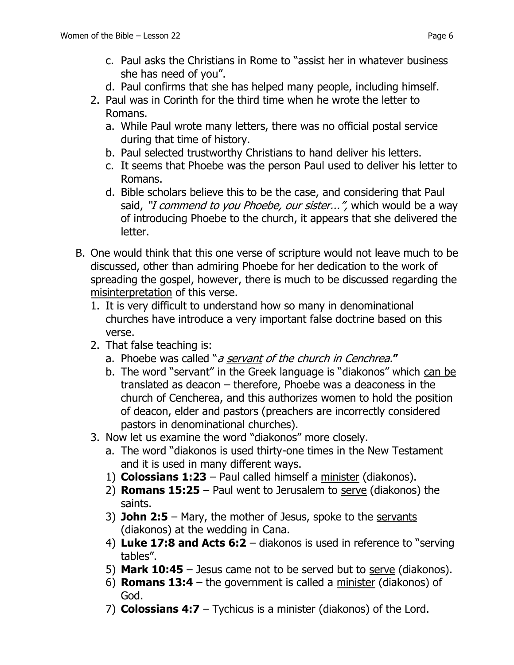- c. Paul asks the Christians in Rome to "assist her in whatever business she has need of you".
- d. Paul confirms that she has helped many people, including himself.
- 2. Paul was in Corinth for the third time when he wrote the letter to Romans.
	- a. While Paul wrote many letters, there was no official postal service during that time of history.
	- b. Paul selected trustworthy Christians to hand deliver his letters.
	- c. It seems that Phoebe was the person Paul used to deliver his letter to Romans.
	- d. Bible scholars believe this to be the case, and considering that Paul said, "I commend to you Phoebe, our sister...", which would be a way of introducing Phoebe to the church, it appears that she delivered the letter.
- B. One would think that this one verse of scripture would not leave much to be discussed, other than admiring Phoebe for her dedication to the work of spreading the gospel, however, there is much to be discussed regarding the misinterpretation of this verse.
	- 1. It is very difficult to understand how so many in denominational churches have introduce a very important false doctrine based on this verse.
	- 2. That false teaching is:
		- a. Phoebe was called "a servant of the church in Cenchrea.**"**
		- b. The word "servant" in the Greek language is "diakonos" which can be translated as deacon – therefore, Phoebe was a deaconess in the church of Cencherea, and this authorizes women to hold the position of deacon, elder and pastors (preachers are incorrectly considered pastors in denominational churches).
	- 3. Now let us examine the word "diakonos" more closely.
		- a. The word "diakonos is used thirty-one times in the New Testament and it is used in many different ways.
		- 1) **Colossians 1:23** Paul called himself a minister (diakonos).
		- 2) **Romans 15:25** Paul went to Jerusalem to serve (diakonos) the saints.
		- 3) **John 2:5** Mary, the mother of Jesus, spoke to the servants (diakonos) at the wedding in Cana.
		- 4) **Luke 17:8 and Acts 6:2** diakonos is used in reference to "serving tables".
		- 5) **Mark 10:45** Jesus came not to be served but to serve (diakonos).
		- 6) **Romans 13:4** the government is called a minister (diakonos) of God.
		- 7) **Colossians 4:7** Tychicus is a minister (diakonos) of the Lord.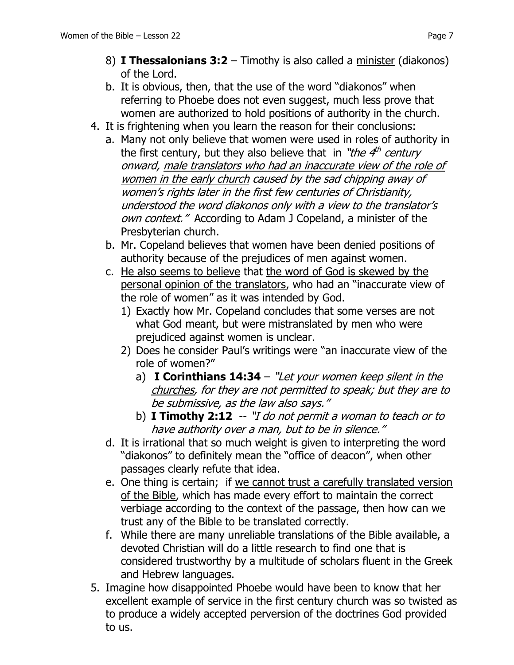- 8) **I Thessalonians 3:2** Timothy is also called a minister (diakonos) of the Lord.
- b. It is obvious, then, that the use of the word "diakonos" when referring to Phoebe does not even suggest, much less prove that women are authorized to hold positions of authority in the church.
- 4. It is frightening when you learn the reason for their conclusions:
	- a. Many not only believe that women were used in roles of authority in the first century, but they also believe that in "*the 4<sup>th</sup> century* onward, male translators who had an inaccurate view of the role of women in the early church caused by the sad chipping away of women's rights later in the first few centuries of Christianity, understood the word diakonos only with a view to the translator's own context." According to Adam J Copeland, a minister of the Presbyterian church.
	- b. Mr. Copeland believes that women have been denied positions of authority because of the prejudices of men against women.
	- c. He also seems to believe that the word of God is skewed by the personal opinion of the translators, who had an "inaccurate view of the role of women" as it was intended by God.
		- 1) Exactly how Mr. Copeland concludes that some verses are not what God meant, but were mistranslated by men who were prejudiced against women is unclear.
		- 2) Does he consider Paul's writings were "an inaccurate view of the role of women?"
			- a) **I Corinthians 14:34** "Let your women keep silent in the churches, for they are not permitted to speak; but they are to be submissive, as the law also says."
			- b) **I Timothy 2:12** -- "I do not permit a woman to teach or to have authority over a man, but to be in silence."
	- d. It is irrational that so much weight is given to interpreting the word "diakonos" to definitely mean the "office of deacon", when other passages clearly refute that idea.
	- e. One thing is certain; if we cannot trust a carefully translated version of the Bible, which has made every effort to maintain the correct verbiage according to the context of the passage, then how can we trust any of the Bible to be translated correctly.
	- f. While there are many unreliable translations of the Bible available, a devoted Christian will do a little research to find one that is considered trustworthy by a multitude of scholars fluent in the Greek and Hebrew languages.
- 5. Imagine how disappointed Phoebe would have been to know that her excellent example of service in the first century church was so twisted as to produce a widely accepted perversion of the doctrines God provided to us.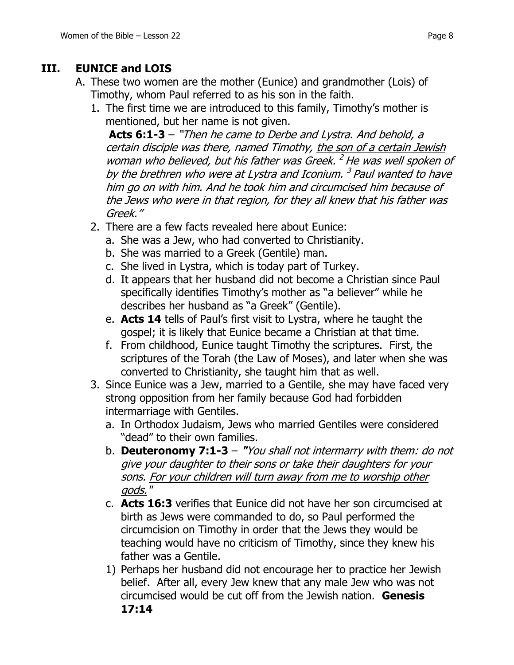## **III. EUNICE and LOIS**

- A. These two women are the mother (Eunice) and grandmother (Lois) of Timothy, whom Paul referred to as his son in the faith.
	- 1. The first time we are introduced to this family, Timothy's mother is mentioned, but her name is not given.

**Acts 6:1-3** – "Then he came to Derbe and Lystra. And behold, a certain disciple was there, named Timothy, the son of a certain Jewish woman who believed, but his father was Greek.<sup>2</sup> He was well spoken of by the brethren who were at Lystra and Iconium. <sup>3</sup> Paul wanted to have him go on with him. And he took him and circumcised him because of the Jews who were in that region, for they all knew that his father was Greek."

- 2. There are a few facts revealed here about Eunice:
	- a. She was a Jew, who had converted to Christianity.
	- b. She was married to a Greek (Gentile) man.
	- c. She lived in Lystra, which is today part of Turkey.
	- d. It appears that her husband did not become a Christian since Paul specifically identifies Timothy's mother as "a believer" while he describes her husband as "a Greek" (Gentile).
	- e. **Acts 14** tells of Paul's first visit to Lystra, where he taught the gospel; it is likely that Eunice became a Christian at that time.
	- f. From childhood, Eunice taught Timothy the scriptures. First, the scriptures of the Torah (the Law of Moses), and later when she was converted to Christianity, she taught him that as well.
- 3. Since Eunice was a Jew, married to a Gentile, she may have faced very strong opposition from her family because God had forbidden intermarriage with Gentiles.
	- a. In Orthodox Judaism, Jews who married Gentiles were considered "dead" to their own families.
	- b. **Deuteronomy 7:1-3 "**You shall not intermarry with them: do not give your daughter to their sons or take their daughters for your sons. For your children will turn away from me to worship other gods."
	- c. **Acts 16:3** verifies that Eunice did not have her son circumcised at birth as Jews were commanded to do, so Paul performed the circumcision on Timothy in order that the Jews they would be teaching would have no criticism of Timothy, since they knew his father was a Gentile.
	- 1) Perhaps her husband did not encourage her to practice her Jewish belief. After all, every Jew knew that any male Jew who was not circumcised would be cut off from the Jewish nation. **Genesis 17:14**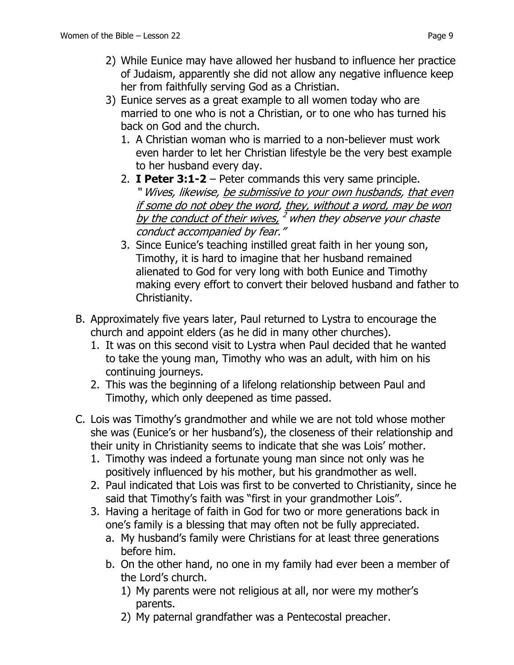- 2) While Eunice may have allowed her husband to influence her practice of Judaism, apparently she did not allow any negative influence keep her from faithfully serving God as a Christian.
- 3) Eunice serves as a great example to all women today who are married to one who is not a Christian, or to one who has turned his back on God and the church.
	- 1. A Christian woman who is married to a non-believer must work even harder to let her Christian lifestyle be the very best example to her husband every day.
	- 2. **I Peter 3:1-2** Peter commands this very same principle. " Wives, likewise, be submissive to your own husbands, that even if some do not obey the word, they, without a word, may be won <u>by the conduct of their wives,  $^2$  when they observe your chaste</u> conduct accompanied by fear."
	- 3. Since Eunice's teaching instilled great faith in her young son, Timothy, it is hard to imagine that her husband remained alienated to God for very long with both Eunice and Timothy making every effort to convert their beloved husband and father to Christianity.
- B. Approximately five years later, Paul returned to Lystra to encourage the church and appoint elders (as he did in many other churches).
	- 1. It was on this second visit to Lystra when Paul decided that he wanted to take the young man, Timothy who was an adult, with him on his continuing journeys.
	- 2. This was the beginning of a lifelong relationship between Paul and Timothy, which only deepened as time passed.
- C. Lois was Timothy's grandmother and while we are not told whose mother she was (Eunice's or her husband's), the closeness of their relationship and their unity in Christianity seems to indicate that she was Lois' mother.
	- 1. Timothy was indeed a fortunate young man since not only was he positively influenced by his mother, but his grandmother as well.
	- 2. Paul indicated that Lois was first to be converted to Christianity, since he said that Timothy's faith was "first in your grandmother Lois".
	- 3. Having a heritage of faith in God for two or more generations back in one's family is a blessing that may often not be fully appreciated.
		- a. My husband's family were Christians for at least three generations before him.
		- b. On the other hand, no one in my family had ever been a member of the Lord's church.
			- 1) My parents were not religious at all, nor were my mother's parents.
			- 2) My paternal grandfather was a Pentecostal preacher.